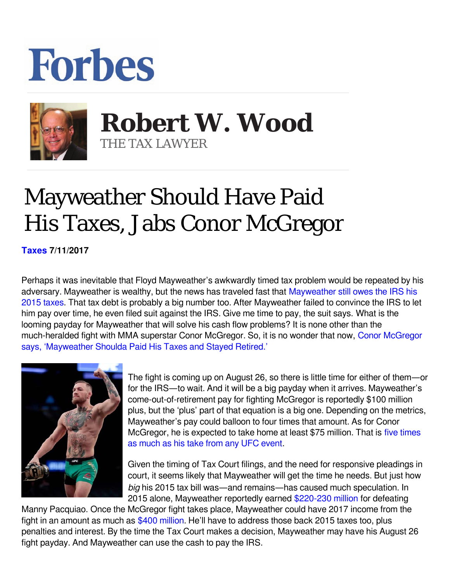## **Forbes**



 **Robert W. Wood** THE TAX LAWYER

## Mayweather Should Have Paid His Taxes, Jabs Conor McGregor

**[Taxes](https://www.forbes.com/taxes) 7/11/2017** 

Perhaps it was inevitable that Floyd Mayweather's awkwardly timed tax problem would be repeated by his adversary. Mayweather is wealthy, but the news has traveled fast that [Mayweather still owes the IRS his](https://www.google.com/url?sa=t&rct=j&q=&esrc=s&source=web&cd=7&cad=rja&uact=8&ved=0ahUKEwjn18zb0YDVAhWkx4MKHUB4C3IQFghBMAY&url=https://www.forbes.com/sites/robertwood/2017/07/09/mayweather-sues-irs-to-await-mcgregor-fight-to-pay-2015-taxes/&usg=AFQjCNGBEqPbXeLgpUYkLBxF2cWfi1oPXA) [2015 taxes.](https://www.google.com/url?sa=t&rct=j&q=&esrc=s&source=web&cd=7&cad=rja&uact=8&ved=0ahUKEwjn18zb0YDVAhWkx4MKHUB4C3IQFghBMAY&url=https://www.forbes.com/sites/robertwood/2017/07/09/mayweather-sues-irs-to-await-mcgregor-fight-to-pay-2015-taxes/&usg=AFQjCNGBEqPbXeLgpUYkLBxF2cWfi1oPXA) That tax debt is probably a big number too. After Mayweather failed to convince the IRS to let him pay over time, he even filed suit against the IRS. Give me time to pay, the suit says. What is the looming payday for Mayweather that will solve his cash flow problems? It is none other than the much-heralded fight with MMA superstar Conor McGregor. So, it is no wonder that now, [Conor McGregor](https://www.google.com/url?sa=t&rct=j&q=&esrc=s&source=web&cd=4&cad=rja&uact=8&ved=0ahUKEwjmprKctoDVAhVW4WMKHVThDUMQFgg0MAM&url=http://www.tmz.com/2017/07/10/conor-mcgregor-mayweather-taxes-beverly-hills/&usg=AFQjCNGs3Np1uIsPqa11K06SdrR7OhQmcA) [says, 'Mayweather Shoulda Paid His Taxes and Stayed Retired.'](https://www.google.com/url?sa=t&rct=j&q=&esrc=s&source=web&cd=4&cad=rja&uact=8&ved=0ahUKEwjmprKctoDVAhVW4WMKHVThDUMQFgg0MAM&url=http://www.tmz.com/2017/07/10/conor-mcgregor-mayweather-taxes-beverly-hills/&usg=AFQjCNGs3Np1uIsPqa11K06SdrR7OhQmcA)



The fight is coming up on August 26, so there is little time for either of them—or for the IRS—to wait. And it will be a big payday when it arrives. Mayweather's come-out-of-retirement pay for fighting McGregor is reportedly \$100 million plus, but the 'plus' part of that equation is a big one. Depending on the metrics, Mayweather's pay could balloon to four times that amount. As for Conor McGregor, he is expected to take home at least \$75 million. That is [five times](https://www.bjpenn.com/mma-news/nate-diaz/conor-mcgregor-nate-diaz-earn-estimated-15-million-13-million-respectively-ufc-202/) [as much as his take from any UFC event](https://www.bjpenn.com/mma-news/nate-diaz/conor-mcgregor-nate-diaz-earn-estimated-15-million-13-million-respectively-ufc-202/).

Given the timing of Tax Court filings, and the need for responsive pleadings in court, it seems likely that Mayweather will get the time he needs. But just how *big* his 2015 tax bill was—and remains—has caused much speculation. In 2015 alone, Mayweather reportedly earned [\\$220-230 million](http://www.espn.com/boxing/story/_/id/13181452/floyd-mayweather-make-least-220-million-fight-manny-pacquiao) for defeating

Manny Pacquiao. Once the McGregor fight takes place, Mayweather could have 2017 income from the fight in an amount as much as [\\$400 million](https://www.forbes.com/sites/brianmazique/2017/06/16/the-estimated-purses-for-floyd-mayweather-vs-conor-mcgregor-fight-are-staggering). He'll have to address those back 2015 taxes too, plus penalties and interest. By the time the Tax Court makes a decision, Mayweather may have his August 26 fight payday. And Mayweather can use the cash to pay the IRS.